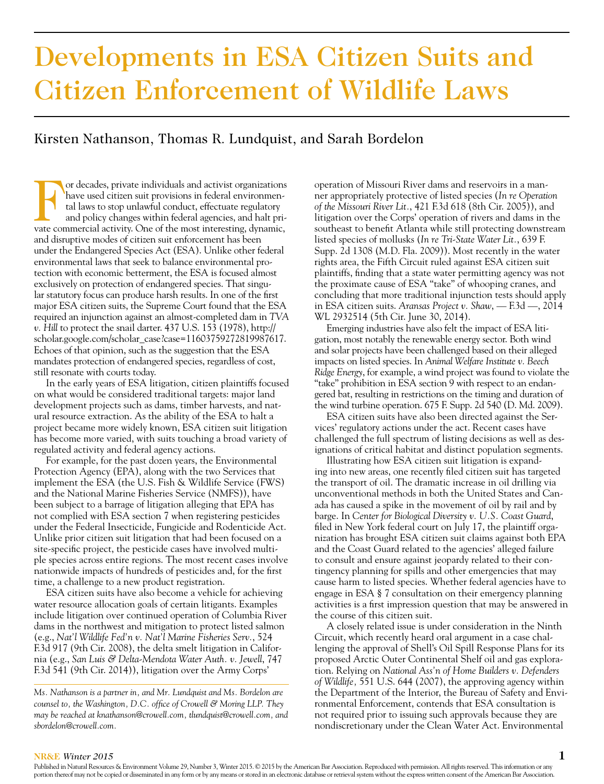# Developments in ESA Citizen Suits and Citizen Enforcement of Wildlife Laws

# Kirsten Nathanson, Thomas R. Lundquist, and Sarah Bordelon

or decades, private individuals and activist organizations have used citizen suit provisions in federal environmental laws to stop unlawful conduct, effectuate regulatory and policy changes within federal agencies, and halt private commercial activity. One of the most interesting, dynamic, and disruptive modes of citizen suit enforcement has been under the Endangered Species Act (ESA). Unlike other federal environmental laws that seek to balance environmental protection with economic betterment, the ESA is focused almost exclusively on protection of endangered species. That singular statutory focus can produce harsh results. In one of the first major ESA citizen suits, the Supreme Court found that the ESA required an injunction against an almost-completed dam in *TVA v. Hill* to protect the snail darter. 437 U.S. 153 (1978), http:// scholar.google.com/scholar\_case?case=11603759272819987617. Echoes of that opinion, such as the suggestion that the ESA mandates protection of endangered species, regardless of cost, still resonate with courts today.

In the early years of ESA litigation, citizen plaintiffs focused on what would be considered traditional targets: major land development projects such as dams, timber harvests, and natural resource extraction. As the ability of the ESA to halt a project became more widely known, ESA citizen suit litigation has become more varied, with suits touching a broad variety of regulated activity and federal agency actions.

For example, for the past dozen years, the Environmental Protection Agency (EPA), along with the two Services that implement the ESA (the U.S. Fish & Wildlife Service (FWS) and the National Marine Fisheries Service (NMFS)), have been subject to a barrage of litigation alleging that EPA has not complied with ESA section 7 when registering pesticides under the Federal Insecticide, Fungicide and Rodenticide Act. Unlike prior citizen suit litigation that had been focused on a site-specific project, the pesticide cases have involved multiple species across entire regions. The most recent cases involve nationwide impacts of hundreds of pesticides and, for the first time, a challenge to a new product registration.

ESA citizen suits have also become a vehicle for achieving water resource allocation goals of certain litigants. Examples include litigation over continued operation of Columbia River dams in the northwest and mitigation to protect listed salmon (e.g., *Nat'l Wildlife Fed'n v. Nat'l Marine Fisheries Serv.*, 524 F.3d 917 (9th Cir. 2008), the delta smelt litigation in California (e.g., *San Luis & Delta-Mendota Water Auth. v. Jewell*, 747 F.3d 541 (9th Cir. 2014)), litigation over the Army Corps'

*Ms. Nathanson is a partner in, and Mr. Lundquist and Ms. Bordelon are counsel to, the Washington, D.C. office of Crowell & Moring LLP. They may be reached at knathanson@crowell.com, tlundquist@crowell.com, and sbordelon@crowell.com.*

operation of Missouri River dams and reservoirs in a manner appropriately protective of listed species (*In re Operation of the Missouri River Lit.*, 421 F.3d 618 (8th Cir. 2005)), and litigation over the Corps' operation of rivers and dams in the southeast to benefit Atlanta while still protecting downstream listed species of mollusks (*In re Tri-State Water Lit.*, 639 F. Supp. 2d 1308 (M.D. Fla. 2009)). Most recently in the water rights area, the Fifth Circuit ruled against ESA citizen suit plaintiffs, finding that a state water permitting agency was not the proximate cause of ESA "take" of whooping cranes, and concluding that more traditional injunction tests should apply in ESA citizen suits. *Aransas Project v. Shaw*, — F.3d —, 2014 WL 2932514 (5th Cir. June 30, 2014).

Emerging industries have also felt the impact of ESA litigation, most notably the renewable energy sector. Both wind and solar projects have been challenged based on their alleged impacts on listed species. In *Animal Welfare Institute v. Beech Ridge Energy*, for example, a wind project was found to violate the "take" prohibition in ESA section 9 with respect to an endangered bat, resulting in restrictions on the timing and duration of the wind turbine operation. 675 F. Supp. 2d 540 (D. Md. 2009).

ESA citizen suits have also been directed against the Services' regulatory actions under the act. Recent cases have challenged the full spectrum of listing decisions as well as designations of critical habitat and distinct population segments.

Illustrating how ESA citizen suit litigation is expanding into new areas, one recently filed citizen suit has targeted the transport of oil. The dramatic increase in oil drilling via unconventional methods in both the United States and Canada has caused a spike in the movement of oil by rail and by barge. In *Center for Biological Diversity v. U.S. Coast Guard*, filed in New York federal court on July 17, the plaintiff organization has brought ESA citizen suit claims against both EPA and the Coast Guard related to the agencies' alleged failure to consult and ensure against jeopardy related to their contingency planning for spills and other emergencies that may cause harm to listed species. Whether federal agencies have to engage in ESA § 7 consultation on their emergency planning activities is a first impression question that may be answered in the course of this citizen suit.

A closely related issue is under consideration in the Ninth Circuit, which recently heard oral argument in a case challenging the approval of Shell's Oil Spill Response Plans for its proposed Arctic Outer Continental Shelf oil and gas exploration. Relying on *National Ass'n of Home Builders v. Defenders of Wildlife,* 551 U.S. 644 (2007), the approving agency within the Department of the Interior, the Bureau of Safety and Environmental Enforcement, contends that ESA consultation is not required prior to issuing such approvals because they are nondiscretionary under the Clean Water Act. Environmental

#### **NR&E** *Winter 2015* **1**

Published in Natural Resources & Environment Volume 29, Number 3, Winter 2015. © 2015 by the American Bar Association. Reproduced with permission. All rights reserved. This information or any portion thereof may not be copied or disseminated in any form or by any means or stored in an electronic database or retrieval system without the express written consent of the American Bar Association.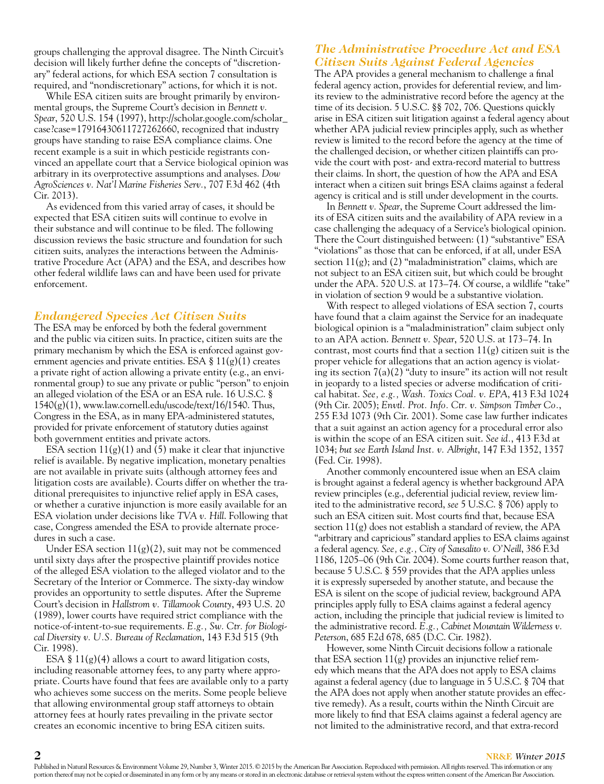groups challenging the approval disagree. The Ninth Circuit's decision will likely further define the concepts of "discretionary" federal actions, for which ESA section 7 consultation is required, and "nondiscretionary" actions, for which it is not.

While ESA citizen suits are brought primarily by environmental groups, the Supreme Court's decision in *Bennett v. Spear*, 520 U.S. 154 (1997), http://scholar.google.com/scholar\_ case?case=17916430611727262660, recognized that industry groups have standing to raise ESA compliance claims. One recent example is a suit in which pesticide registrants convinced an appellate court that a Service biological opinion was arbitrary in its overprotective assumptions and analyses. *Dow AgroSciences v. Nat'l Marine Fisheries Serv.*, 707 F.3d 462 (4th Cir. 2013).

As evidenced from this varied array of cases, it should be expected that ESA citizen suits will continue to evolve in their substance and will continue to be filed. The following discussion reviews the basic structure and foundation for such citizen suits, analyzes the interactions between the Administrative Procedure Act (APA) and the ESA, and describes how other federal wildlife laws can and have been used for private enforcement.

#### *Endangered Species Act Citizen Suits*

The ESA may be enforced by both the federal government and the public via citizen suits. In practice, citizen suits are the primary mechanism by which the ESA is enforced against government agencies and private entities. ESA  $\S 11(g)(1)$  creates a private right of action allowing a private entity (e.g., an environmental group) to sue any private or public "person" to enjoin an alleged violation of the ESA or an ESA rule. 16 U.S.C. §  $1540(g)(1)$ , www.law.cornell.edu/uscode/text/16/1540. Thus, Congress in the ESA, as in many EPA-administered statutes, provided for private enforcement of statutory duties against both government entities and private actors.

ESA section  $11(g)(1)$  and (5) make it clear that injunctive relief is available. By negative implication, monetary penalties are not available in private suits (although attorney fees and litigation costs are available). Courts differ on whether the traditional prerequisites to injunctive relief apply in ESA cases, or whether a curative injunction is more easily available for an ESA violation under decisions like *TVA v. Hill*. Following that case, Congress amended the ESA to provide alternate procedures in such a case.

Under ESA section  $11(g)(2)$ , suit may not be commenced until sixty days after the prospective plaintiff provides notice of the alleged ESA violation to the alleged violator and to the Secretary of the Interior or Commerce. The sixty-day window provides an opportunity to settle disputes. After the Supreme Court's decision in *Hallstrom v. Tillamook County*, 493 U.S. 20 (1989), lower courts have required strict compliance with the notice-of-intent-to-sue requirements. *E.g., Sw. Ctr. for Biological Diversity v. U.S. Bureau of Reclamation*, 143 F.3d 515 (9th Cir. 1998).

ESA §  $11(g)(4)$  allows a court to award litigation costs, including reasonable attorney fees, to any party where appropriate. Courts have found that fees are available only to a party who achieves some success on the merits. Some people believe that allowing environmental group staff attorneys to obtain attorney fees at hourly rates prevailing in the private sector creates an economic incentive to bring ESA citizen suits.

### *The Administrative Procedure Act and ESA Citizen Suits Against Federal Agencies*

The APA provides a general mechanism to challenge a final federal agency action, provides for deferential review, and limits review to the administrative record before the agency at the time of its decision. 5 U.S.C. §§ 702, 706. Questions quickly arise in ESA citizen suit litigation against a federal agency about whether APA judicial review principles apply, such as whether review is limited to the record before the agency at the time of the challenged decision, or whether citizen plaintiffs can provide the court with post- and extra-record material to buttress their claims. In short, the question of how the APA and ESA interact when a citizen suit brings ESA claims against a federal agency is critical and is still under development in the courts.

In *Bennett v. Spear*, the Supreme Court addressed the limits of ESA citizen suits and the availability of APA review in a case challenging the adequacy of a Service's biological opinion. There the Court distinguished between: (1) "substantive" ESA "violations" as those that can be enforced, if at all, under ESA section  $11(g)$ ; and (2) "maladministration" claims, which are not subject to an ESA citizen suit, but which could be brought under the APA. 520 U.S. at 173–74. Of course, a wildlife "take" in violation of section 9 would be a substantive violation.

With respect to alleged violations of ESA section 7, courts have found that a claim against the Service for an inadequate biological opinion is a "maladministration" claim subject only to an APA action. *Bennett v. Spear*, 520 U.S. at 173–74. In contrast, most courts find that a section  $11(g)$  citizen suit is the proper vehicle for allegations that an action agency is violating its section  $7(a)(2)$  "duty to insure" its action will not result in jeopardy to a listed species or adverse modification of critical habitat. *See, e.g., Wash. Toxics Coal. v. EPA*, 413 F.3d 1024 (9th Cir. 2005); *Envtl. Prot. Info. Ctr. v. Simpson Timber Co.*, 255 F.3d 1073 (9th Cir. 2001). Some case law further indicates that a suit against an action agency for a procedural error also is within the scope of an ESA citizen suit. *See id.*, 413 F.3d at 1034; *but see Earth Island Inst. v. Albright*, 147 F.3d 1352, 1357 (Fed. Cir. 1998).

Another commonly encountered issue when an ESA claim is brought against a federal agency is whether background APA review principles (e.g., deferential judicial review, review limited to the administrative record, *see* 5 U.S.C. § 706) apply to such an ESA citizen suit. Most courts find that, because ESA section  $11(g)$  does not establish a standard of review, the APA "arbitrary and capricious" standard applies to ESA claims against a federal agency. *See, e.g., City of Sausalito v. O'Neill*, 386 F.3d 1186, 1205–06 (9th Cir. 2004). Some courts further reason that, because 5 U.S.C. § 559 provides that the APA applies unless it is expressly superseded by another statute, and because the ESA is silent on the scope of judicial review, background APA principles apply fully to ESA claims against a federal agency action, including the principle that judicial review is limited to the administrative record. *E.g., Cabinet Mountain Wilderness v. Peterson*, 685 F.2d 678, 685 (D.C. Cir. 1982).

However, some Ninth Circuit decisions follow a rationale that ESA section  $11(g)$  provides an injunctive relief remedy which means that the APA does not apply to ESA claims against a federal agency (due to language in 5 U.S.C. § 704 that the APA does not apply when another statute provides an effective remedy). As a result, courts within the Ninth Circuit are more likely to find that ESA claims against a federal agency are not limited to the administrative record, and that extra-record